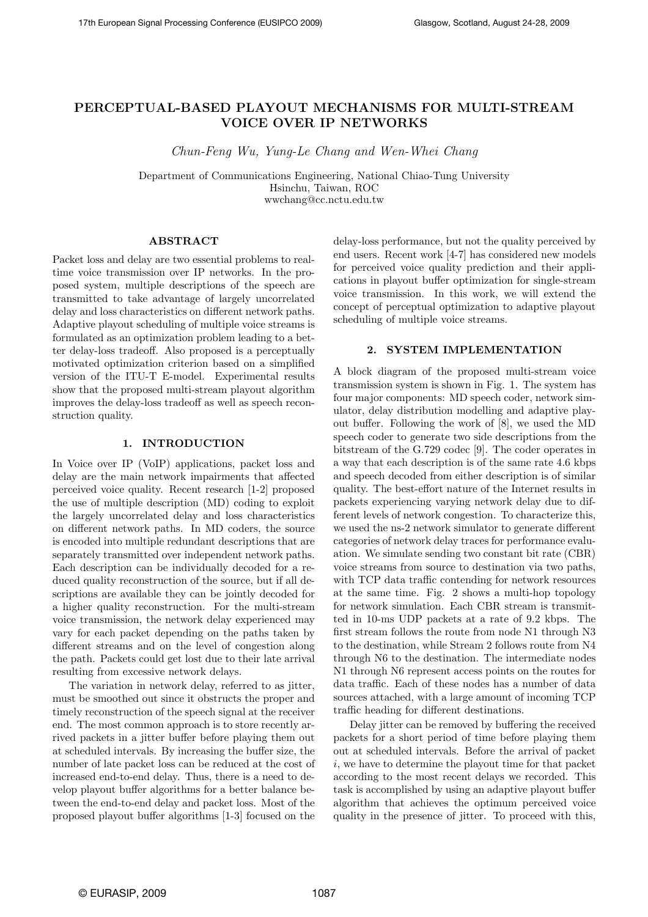# PERCEPTUAL-BASED PLAYOUT MECHANISMS FOR MULTI-STREAM VOICE OVER IP NETWORKS

Chun-Feng Wu, Yung-Le Chang and Wen-Whei Chang

Department of Communications Engineering, National Chiao-Tung University Hsinchu, Taiwan, ROC wwchang@cc.nctu.edu.tw

#### ABSTRACT

Packet loss and delay are two essential problems to realtime voice transmission over IP networks. In the proposed system, multiple descriptions of the speech are transmitted to take advantage of largely uncorrelated delay and loss characteristics on different network paths. Adaptive playout scheduling of multiple voice streams is formulated as an optimization problem leading to a better delay-loss tradeoff. Also proposed is a perceptually motivated optimization criterion based on a simplified version of the ITU-T E-model. Experimental results show that the proposed multi-stream playout algorithm improves the delay-loss tradeoff as well as speech reconstruction quality.

#### 1. INTRODUCTION

In Voice over IP (VoIP) applications, packet loss and delay are the main network impairments that affected perceived voice quality. Recent research [1-2] proposed the use of multiple description (MD) coding to exploit the largely uncorrelated delay and loss characteristics on different network paths. In MD coders, the source is encoded into multiple redundant descriptions that are separately transmitted over independent network paths. Each description can be individually decoded for a reduced quality reconstruction of the source, but if all descriptions are available they can be jointly decoded for a higher quality reconstruction. For the multi-stream voice transmission, the network delay experienced may vary for each packet depending on the paths taken by different streams and on the level of congestion along the path. Packets could get lost due to their late arrival resulting from excessive network delays.

The variation in network delay, referred to as jitter, must be smoothed out since it obstructs the proper and timely reconstruction of the speech signal at the receiver end. The most common approach is to store recently arrived packets in a jitter buffer before playing them out at scheduled intervals. By increasing the buffer size, the number of late packet loss can be reduced at the cost of increased end-to-end delay. Thus, there is a need to develop playout buffer algorithms for a better balance between the end-to-end delay and packet loss. Most of the proposed playout buffer algorithms [1-3] focused on the

delay-loss performance, but not the quality perceived by end users. Recent work [4-7] has considered new models for perceived voice quality prediction and their applications in playout buffer optimization for single-stream voice transmission. In this work, we will extend the concept of perceptual optimization to adaptive playout scheduling of multiple voice streams.

#### 2. SYSTEM IMPLEMENTATION

A block diagram of the proposed multi-stream voice transmission system is shown in Fig. 1. The system has four major components: MD speech coder, network simulator, delay distribution modelling and adaptive playout buffer. Following the work of [8], we used the MD speech coder to generate two side descriptions from the bitstream of the G.729 codec [9]. The coder operates in a way that each description is of the same rate 4.6 kbps and speech decoded from either description is of similar quality. The best-effort nature of the Internet results in packets experiencing varying network delay due to different levels of network congestion. To characterize this, we used the ns-2 network simulator to generate different categories of network delay traces for performance evaluation. We simulate sending two constant bit rate (CBR) voice streams from source to destination via two paths, with TCP data traffic contending for network resources at the same time. Fig. 2 shows a multi-hop topology for network simulation. Each CBR stream is transmitted in 10-ms UDP packets at a rate of 9.2 kbps. The first stream follows the route from node N1 through N3 to the destination, while Stream 2 follows route from N4 through N6 to the destination. The intermediate nodes N1 through N6 represent access points on the routes for data traffic. Each of these nodes has a number of data sources attached, with a large amount of incoming TCP traffic heading for different destinations.

Delay jitter can be removed by buffering the received packets for a short period of time before playing them out at scheduled intervals. Before the arrival of packet i, we have to determine the playout time for that packet according to the most recent delays we recorded. This task is accomplished by using an adaptive playout buffer algorithm that achieves the optimum perceived voice quality in the presence of jitter. To proceed with this,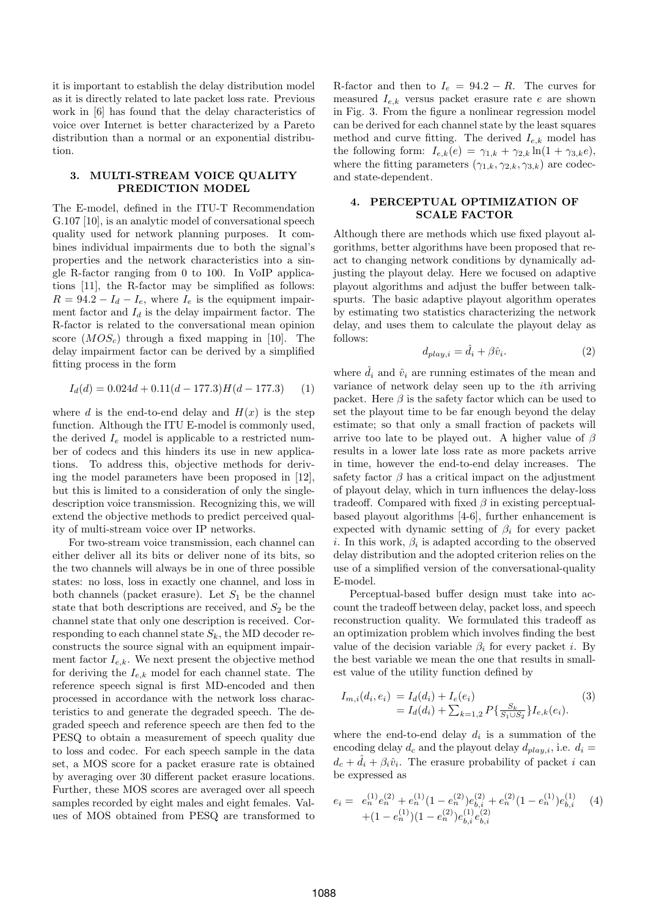it is important to establish the delay distribution model as it is directly related to late packet loss rate. Previous work in [6] has found that the delay characteristics of voice over Internet is better characterized by a Pareto distribution than a normal or an exponential distribution.

### 3. MULTI-STREAM VOICE QUALITY PREDICTION MODEL

The E-model, defined in the ITU-T Recommendation G.107 [10], is an analytic model of conversational speech quality used for network planning purposes. It combines individual impairments due to both the signal's properties and the network characteristics into a single R-factor ranging from 0 to 100. In VoIP applications [11], the R-factor may be simplified as follows:  $R = 94.2 - I_d - I_e$ , where  $I_e$  is the equipment impairment factor and  $I_d$  is the delay impairment factor. The R-factor is related to the conversational mean opinion score  $(MOS<sub>c</sub>)$  through a fixed mapping in [10]. The delay impairment factor can be derived by a simplified fitting process in the form

$$
I_d(d) = 0.024d + 0.11(d - 177.3)H(d - 177.3)
$$
 (1)

where d is the end-to-end delay and  $H(x)$  is the step function. Although the ITU E-model is commonly used, the derived  $I_e$  model is applicable to a restricted number of codecs and this hinders its use in new applications. To address this, objective methods for deriving the model parameters have been proposed in [12], but this is limited to a consideration of only the singledescription voice transmission. Recognizing this, we will extend the objective methods to predict perceived quality of multi-stream voice over IP networks.

For two-stream voice transmission, each channel can either deliver all its bits or deliver none of its bits, so the two channels will always be in one of three possible states: no loss, loss in exactly one channel, and loss in both channels (packet erasure). Let  $S_1$  be the channel state that both descriptions are received, and  $S_2$  be the channel state that only one description is received. Corresponding to each channel state  $S_k$ , the MD decoder reconstructs the source signal with an equipment impairment factor  $I_{e,k}$ . We next present the objective method for deriving the  $I_{e,k}$  model for each channel state. The reference speech signal is first MD-encoded and then processed in accordance with the network loss characteristics to and generate the degraded speech. The degraded speech and reference speech are then fed to the PESQ to obtain a measurement of speech quality due to loss and codec. For each speech sample in the data set, a MOS score for a packet erasure rate is obtained by averaging over 30 different packet erasure locations. Further, these MOS scores are averaged over all speech samples recorded by eight males and eight females. Values of MOS obtained from PESQ are transformed to

R-factor and then to  $I_e = 94.2 - R$ . The curves for measured  $I_{e,k}$  versus packet erasure rate e are shown in Fig. 3. From the figure a nonlinear regression model can be derived for each channel state by the least squares method and curve fitting. The derived  $I_{ek}$  model has the following form:  $I_{e,k}(e) = \gamma_{1,k} + \gamma_{2,k} \ln(1 + \gamma_{3,k}e),$ where the fitting parameters  $(\gamma_{1,k}, \gamma_{2,k}, \gamma_{3,k})$  are codecand state-dependent.

### 4. PERCEPTUAL OPTIMIZATION OF SCALE FACTOR

Although there are methods which use fixed playout algorithms, better algorithms have been proposed that react to changing network conditions by dynamically adjusting the playout delay. Here we focused on adaptive playout algorithms and adjust the buffer between talkspurts. The basic adaptive playout algorithm operates by estimating two statistics characterizing the network delay, and uses them to calculate the playout delay as follows:

$$
d_{play,i} = \hat{d}_i + \beta \hat{v}_i.
$$
\n(2)

where  $\hat{d}_i$  and  $\hat{v}_i$  are running estimates of the mean and variance of network delay seen up to the ith arriving packet. Here  $\beta$  is the safety factor which can be used to set the playout time to be far enough beyond the delay estimate; so that only a small fraction of packets will arrive too late to be played out. A higher value of  $\beta$ results in a lower late loss rate as more packets arrive in time, however the end-to-end delay increases. The safety factor  $\beta$  has a critical impact on the adjustment of playout delay, which in turn influences the delay-loss tradeoff. Compared with fixed  $\beta$  in existing perceptualbased playout algorithms [4-6], further enhancement is expected with dynamic setting of  $\beta_i$  for every packet i. In this work,  $\beta_i$  is adapted according to the observed delay distribution and the adopted criterion relies on the use of a simplified version of the conversational-quality E-model.

Perceptual-based buffer design must take into account the tradeoff between delay, packet loss, and speech reconstruction quality. We formulated this tradeoff as an optimization problem which involves finding the best value of the decision variable  $\beta_i$  for every packet *i*. By the best variable we mean the one that results in smallest value of the utility function defined by

$$
I_{m,i}(d_i, e_i) = I_d(d_i) + I_e(e_i)
$$
  
=  $I_d(d_i) + \sum_{k=1,2} P\{\frac{S_k}{S_1 \cup S_2}\} I_{e,k}(e_i).$  (3)

where the end-to-end delay  $d_i$  is a summation of the encoding delay  $d_c$  and the playout delay  $d_{play,i}$ , i.e.  $d_i =$  $d_c + \hat{d}_i + \beta_i \hat{v}_i$ . The erasure probability of packet i can be expressed as

$$
e_i = e_n^{(1)} e_n^{(2)} + e_n^{(1)} (1 - e_n^{(2)}) e_{b,i}^{(2)} + e_n^{(2)} (1 - e_n^{(1)}) e_{b,i}^{(1)} \t\t(4) + (1 - e_n^{(1)}) (1 - e_n^{(2)}) e_{b,i}^{(1)} e_{b,i}^{(2)}
$$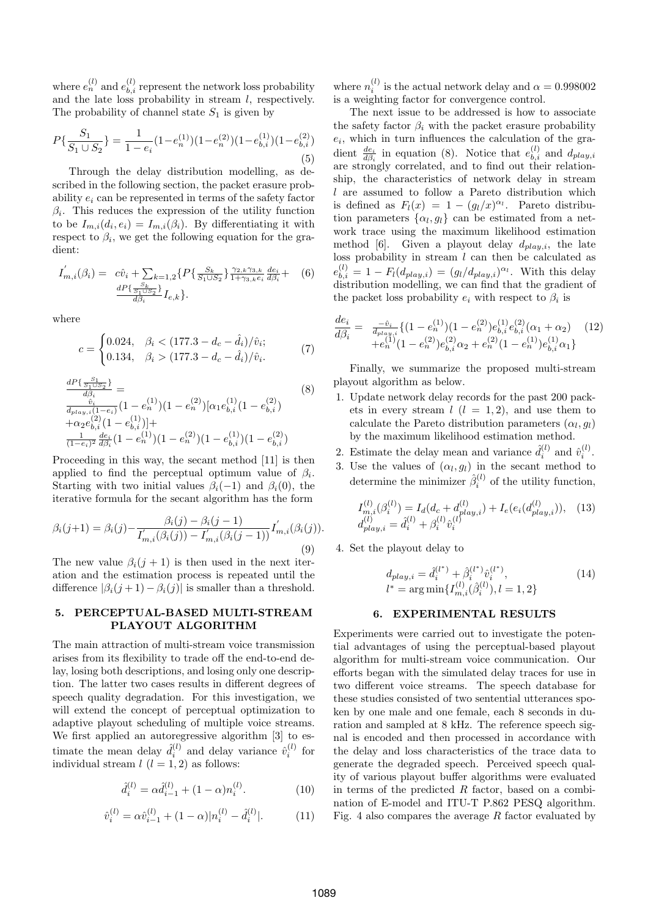where  $e_n^{(l)}$  and  $e_{b,i}^{(l)}$  represent the network loss probability and the late loss probability in stream  $l$ , respectively. The probability of channel state  $S_1$  is given by

$$
P\{\frac{S_1}{S_1 \cup S_2}\} = \frac{1}{1 - e_i}(1 - e_n^{(1)})(1 - e_n^{(2)})(1 - e_{b,i}^{(1)})(1 - e_{b,i}^{(2)})
$$
\n(5)

Through the delay distribution modelling, as described in the following section, the packet erasure probability  $e_i$  can be represented in terms of the safety factor  $\beta_i$ . This reduces the expression of the utility function to be  $I_{m,i}(d_i, e_i) = I_{m,i}(\beta_i)$ . By differentiating it with respect to  $\beta_i$ , we get the following equation for the gradient:

$$
I'_{m,i}(\beta_i) = c\hat{v}_i + \sum_{\substack{S_k\\S_1 \cup S_2}} \{P\{\frac{S_k}{S_1 \cup S_2}\}_{1+\gamma_{3,k}e_i}^{\gamma_{2,k}\gamma_{3,k}} \frac{de_i}{d\beta_i} + (6) \frac{dP\{\frac{S_k}{S_1 \cup S_2}\}}{d\beta_i} I_{e,k}\}.
$$

where

$$
c = \begin{cases} 0.024, & \beta_i < (177.3 - d_c - \hat{d}_i)/\hat{v}_i; \\ 0.134, & \beta_i > (177.3 - d_c - \hat{d}_i)/\hat{v}_i. \end{cases} \tag{7}
$$

$$
\frac{dP\{\frac{S_1}{S_1\cup S_2}\}}{d\beta_i} = \frac{\hat{v}_i}{d\beta_i} \frac{1 - e_n^{(1)}(1 - e_n^{(2)})[\alpha_1 e_{b,i}^{(1)}(1 - e_{b,i}^{(2)})]}{1 + \alpha_2 e_{b,i}^{(2)}(1 - e_{b,i}^{(1)})] + \frac{1}{(1 - e_i)^2} \frac{de_i}{d\beta_i} (1 - e_n^{(1)}) (1 - e_n^{(2)}) (1 - e_{b,i}^{(1)}) (1 - e_{b,i}^{(2)})
$$
\n
$$
(1 - e_i)^2 \frac{1}{d\beta_i} \left(1 - e_n^{(1)}(1 - e_n^{(2)})\right)
$$
\n(8)

Proceeding in this way, the secant method [11] is then applied to find the perceptual optimum value of  $\beta_i$ . Starting with two initial values  $\beta_i(-1)$  and  $\beta_i(0)$ , the iterative formula for the secant algorithm has the form

$$
\beta_i(j+1) = \beta_i(j) - \frac{\beta_i(j) - \beta_i(j-1)}{I'_{m,i}(\beta_i(j)) - I'_{m,i}(\beta_i(j-1))} I'_{m,i}(\beta_i(j)).
$$
\n(9)

The new value  $\beta_i(j+1)$  is then used in the next iteration and the estimation process is repeated until the difference  $|\beta_i(j+1) - \beta_i(j)|$  is smaller than a threshold.

## 5. PERCEPTUAL-BASED MULTI-STREAM PLAYOUT ALGORITHM

The main attraction of multi-stream voice transmission arises from its flexibility to trade off the end-to-end delay, losing both descriptions, and losing only one description. The latter two cases results in different degrees of speech quality degradation. For this investigation, we will extend the concept of perceptual optimization to adaptive playout scheduling of multiple voice streams. We first applied an autoregressive algorithm [3] to estimate the mean delay  $\hat{d}_i^{(l)}$  and delay variance  $\hat{v}_i^{(l)}$  for individual stream  $l$   $(l = 1, 2)$  as follows:

$$
\hat{d}_i^{(l)} = \alpha \hat{d}_{i-1}^{(l)} + (1 - \alpha) n_i^{(l)}.
$$
 (10)

$$
\hat{v}_i^{(l)} = \alpha \hat{v}_{i-1}^{(l)} + (1 - \alpha) |n_i^{(l)} - \hat{d}_i^{(l)}|.
$$
 (11)

where  $n_i^{(l)}$  is the actual network delay and  $\alpha = 0.998002$ is a weighting factor for convergence control.

The next issue to be addressed is how to associate the safety factor  $\beta_i$  with the packet erasure probability  $e_i$ , which in turn influences the calculation of the gradient  $\frac{de_i}{d\beta_i}$  in equation (8). Notice that  $e_{b,i}^{(l)}$  and  $d_{play,i}$ are strongly correlated, and to find out their relationship, the characteristics of network delay in stream  $l$  are assumed to follow a Pareto distribution which is defined as  $F_l(x) = 1 - (g_l/x)^{\alpha_l}$ . Pareto distribution parameters  $\{\alpha_l, g_l\}$  can be estimated from a network trace using the maximum likelihood estimation method [6]. Given a playout delay  $d_{play,i}$ , the late loss probability in stream  $l$  can then be calculated as  $e_{b,i}^{(l)} = 1 - F_l(d_{play,i}) = (g_l/d_{play,i})^{\alpha_l}$ . With this delay distribution modelling, we can find that the gradient of the packet loss probability  $e_i$  with respect to  $\beta_i$  is

$$
\frac{de_i}{d\beta_i} = \frac{-\hat{v}_i}{d_{\text{play},i}} \{ (1 - e_n^{(1)}) (1 - e_n^{(2)}) e_{b,i}^{(1)} e_{b,i}^{(2)} (\alpha_1 + \alpha_2) \quad (12) \\
+ e_n^{(1)} (1 - e_n^{(2)}) e_{b,i}^{(2)} \alpha_2 + e_n^{(2)} (1 - e_n^{(1)}) e_{b,i}^{(1)} \alpha_1 \}
$$

Finally, we summarize the proposed multi-stream playout algorithm as below.

- 1. Update network delay records for the past 200 packets in every stream  $l$   $(l = 1, 2)$ , and use them to calculate the Pareto distribution parameters  $(\alpha_l, g_l)$ by the maximum likelihood estimation method.
- 2. Estimate the delay mean and variance  $\hat{d}_i^{(l)}$  and  $\hat{v}_i^{(l)}$ .
- 3. Use the values of  $(\alpha_l, g_l)$  in the secant method to determine the minimizer  $\hat{\beta}_i^{(l)}$  of the utility function,

$$
I_{m,i}^{(l)}(\beta_i^{(l)}) = I_d(d_c + d_{play,i}^{(l)}) + I_e(e_i(d_{play,i}^{(l)})),
$$
 (13)  

$$
d_{play,i}^{(l)} = \hat{d}_i^{(l)} + \beta_i^{(l)} \hat{v}_i^{(l)}
$$

4. Set the playout delay to

$$
d_{play,i} = \hat{d}_i^{(l^*)} + \hat{\beta}_i^{(l^*)} \hat{v}_i^{(l^*)},
$$
  
\n
$$
l^* = \arg\min\{I_{m,i}^{(l)}(\hat{\beta}_i^{(l)}), l = 1, 2\}
$$
\n(14)

### 6. EXPERIMENTAL RESULTS

Experiments were carried out to investigate the potential advantages of using the perceptual-based playout algorithm for multi-stream voice communication. Our efforts began with the simulated delay traces for use in two different voice streams. The speech database for these studies consisted of two sentential utterances spoken by one male and one female, each 8 seconds in duration and sampled at 8 kHz. The reference speech signal is encoded and then processed in accordance with the delay and loss characteristics of the trace data to generate the degraded speech. Perceived speech quality of various playout buffer algorithms were evaluated in terms of the predicted  $R$  factor, based on a combination of E-model and ITU-T P.862 PESQ algorithm. Fig. 4 also compares the average  $R$  factor evaluated by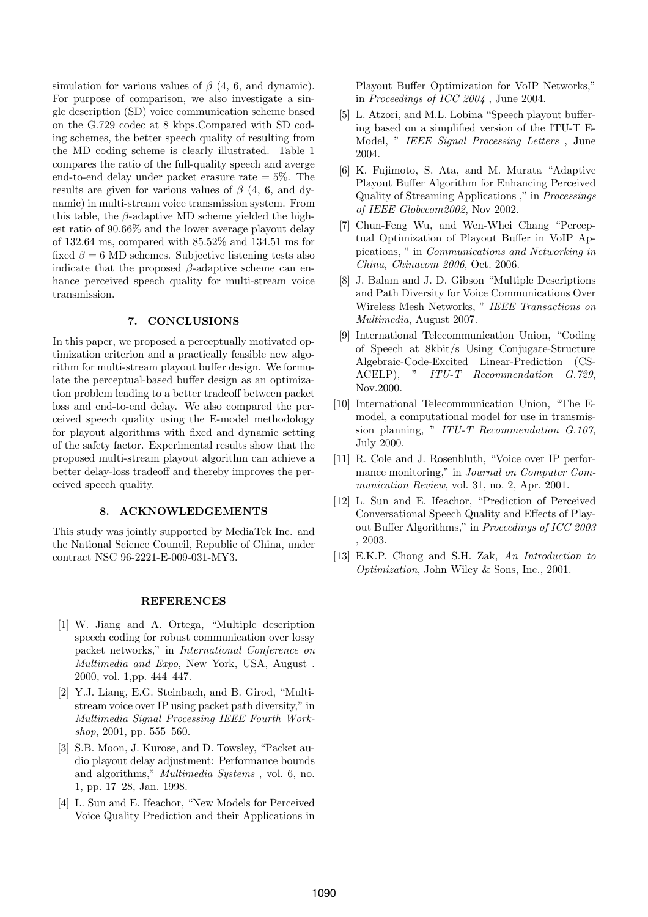simulation for various values of  $\beta$  (4, 6, and dynamic). For purpose of comparison, we also investigate a single description (SD) voice communication scheme based on the G.729 codec at 8 kbps.Compared with SD coding schemes, the better speech quality of resulting from the MD coding scheme is clearly illustrated. Table 1 compares the ratio of the full-quality speech and averge end-to-end delay under packet erasure rate  $= 5\%$ . The results are given for various values of  $\beta$  (4, 6, and dynamic) in multi-stream voice transmission system. From this table, the  $\beta$ -adaptive MD scheme yielded the highest ratio of 90.66% and the lower average playout delay of 132.64 ms, compared with 85.52% and 134.51 ms for fixed  $\beta = 6$  MD schemes. Subjective listening tests also indicate that the proposed  $\beta$ -adaptive scheme can enhance perceived speech quality for multi-stream voice transmission.

#### 7. CONCLUSIONS

In this paper, we proposed a perceptually motivated optimization criterion and a practically feasible new algorithm for multi-stream playout buffer design. We formulate the perceptual-based buffer design as an optimization problem leading to a better tradeoff between packet loss and end-to-end delay. We also compared the perceived speech quality using the E-model methodology for playout algorithms with fixed and dynamic setting of the safety factor. Experimental results show that the proposed multi-stream playout algorithm can achieve a better delay-loss tradeoff and thereby improves the perceived speech quality.

## 8. ACKNOWLEDGEMENTS

This study was jointly supported by MediaTek Inc. and the National Science Council, Republic of China, under contract NSC 96-2221-E-009-031-MY3.

#### REFERENCES

- [1] W. Jiang and A. Ortega, "Multiple description speech coding for robust communication over lossy packet networks," in International Conference on Multimedia and Expo, New York, USA, August . 2000, vol. 1,pp. 444–447.
- [2] Y.J. Liang, E.G. Steinbach, and B. Girod, "Multistream voice over IP using packet path diversity," in Multimedia Signal Processing IEEE Fourth Workshop, 2001, pp. 555–560.
- [3] S.B. Moon, J. Kurose, and D. Towsley, "Packet audio playout delay adjustment: Performance bounds and algorithms," Multimedia Systems , vol. 6, no. 1, pp. 17–28, Jan. 1998.
- [4] L. Sun and E. Ifeachor, "New Models for Perceived Voice Quality Prediction and their Applications in

Playout Buffer Optimization for VoIP Networks," in Proceedings of ICC 2004 , June 2004.

- [5] L. Atzori, and M.L. Lobina "Speech playout buffering based on a simplified version of the ITU-T E-Model, " IEEE Signal Processing Letters , June 2004.
- [6] K. Fujimoto, S. Ata, and M. Murata "Adaptive Playout Buffer Algorithm for Enhancing Perceived Quality of Streaming Applications ," in Processings of IEEE Globecom2002, Nov 2002.
- [7] Chun-Feng Wu, and Wen-Whei Chang "Perceptual Optimization of Playout Buffer in VoIP Appications, " in Communications and Networking in China, Chinacom 2006, Oct. 2006.
- [8] J. Balam and J. D. Gibson "Multiple Descriptions and Path Diversity for Voice Communications Over Wireless Mesh Networks, " IEEE Transactions on Multimedia, August 2007.
- [9] International Telecommunication Union, "Coding of Speech at 8kbit/s Using Conjugate-Structure Algebraic-Code-Excited Linear-Prediction (CS-ACELP), " ITU-T Recommendation G.729, Nov.2000.
- [10] International Telecommunication Union, "The Emodel, a computational model for use in transmission planning, " ITU-T Recommendation G.107, July 2000.
- [11] R. Cole and J. Rosenbluth, "Voice over IP performance monitoring," in Journal on Computer Communication Review, vol. 31, no. 2, Apr. 2001.
- [12] L. Sun and E. Ifeachor, "Prediction of Perceived Conversational Speech Quality and Effects of Playout Buffer Algorithms," in Proceedings of ICC 2003 , 2003.
- [13] E.K.P. Chong and S.H. Zak, An Introduction to Optimization, John Wiley & Sons, Inc., 2001.